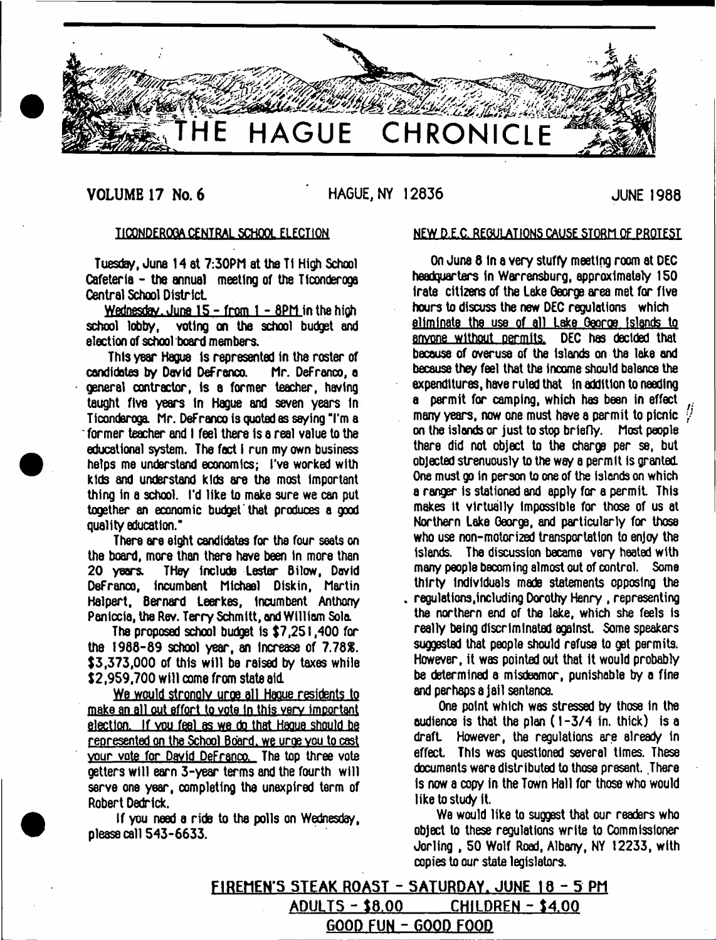

## **VOLUME 17 No. 6 HAGUE, NY 12836 JUNE 1988**

## T1CQNDER0QA CENTRAL SCHOOL ELECTION

Tuesday, June 14 at 7:30PM at the Ti High School Cafeteria - the annual meeting of the Ticonderoga Central School District.

Wednesday. June  $15 - from 1 - 8PM$  in the high school lobby, voting on the school budget and election of school board members.

This year Hague Is represented in the roster of candidates by David DeFrenco. Mr. DeFrenco, a general contractor, Is a former teacher, having taught five years In Hague and seven years In Ticonderoga. Mr. DeFrenco is quoted as saying "I'm a former teacher and I feel there Is a real value to the educational system. The fed I run my own business helps me understand economics; I've worked with kids and understand kids are the most Important thing In a school. I'd like to make sure we can put together an economic budget'that produces a good quality education."

There ere eight candidates for the four seats on the board, more than there have been in more than 20 years. THey Include Lester Bilow, David DeFranco, incumbent Michael Diskin, Martin Ha)pert, Bernard Leerkes, incumbent Anthony Penfccia, the Rev. Terry Schmitt, and William Sola.

The proposed school budget Is \$7,251,400 for the  $1988-89$  school year, an increase of  $7.78\%$ . \$3,373,000 of this will be raised by taxes while \$2,959,700 will come from state aid.

We would strongly urge all Haque residents to make an all out effort to vote in this very important election. If you feel as we do that Haque should be represented on the School Bdard. we uroe you to cast vour vote for David DeFranco. The top three vote getters will earn 3-year terms and the fourth will serve one year, completing the unexpired term of Robert Dedrlck.

If you need a ride to the polls on Wednesday, please call 543-6633.

#### NEW D.E.C. REGULATIONS CAUSE STORM OF PROTEST

 $expenditures, have ruled that  $\mod{1}$  notation to needing$ a permit for camping, which has been in effect  $\mu$ many years, now one must have a permit to picnic  $\frac{1}{r}$ On June 8 In a very stuffy meeting room at DEC headquarters In Werrensburg, approximately 150 Irate citizens of the Lake George area met for five hours to discuss the new DEC regulations which eliminate the use of all Lake Oeoroe Islands to anyone without permits. DEC has decided that because of overuse of the Islands on the lake and because they feel that the income should balence the on the islands or just to stop briefly. Most people there did not object to the charge per se, but objected strenuously to the way a permit is granted. One must go in person to one of the islands on which a ranger is stationed and apply for a permit. This makes It virtually Impossible for those of us at Northern Lake George, and particularly for those who use non-motorized transportation to enjoy the islands. The discussion became very heated with many people becoming almost out of control. Some thirty Individuals made statements opposing the , regulations,including Dorothy Henry , representing the northern end of the lake, which she feels is really being discriminated against. Some speakers suggested that people should refuse to get permits. However, it was pointed out that It would probably be determined a misdeamor, punishable by a fine and perhaps a jail sentence.

One point which was stressed by those In the audience is that the plan (1-3/4 in. thick) is a draft However, the regulations are already in effect. This was questioned several times. These documents were distributed to those present. There Is now a copy in the Town Hall for those who would like to study it.

We would like to suggest that our readers who object to these regulations write to Commissioner Jorling , 50 Wolf Road, Albany, NY 12233, with copies to our state legislators.

**FIREMEN'S STEAK ROAST - SATURDAY. JUNE 18 - 5 PM ADULTS - 18.00 CHILDREN - 14.00 GOOD FUN - GOOD FOOD**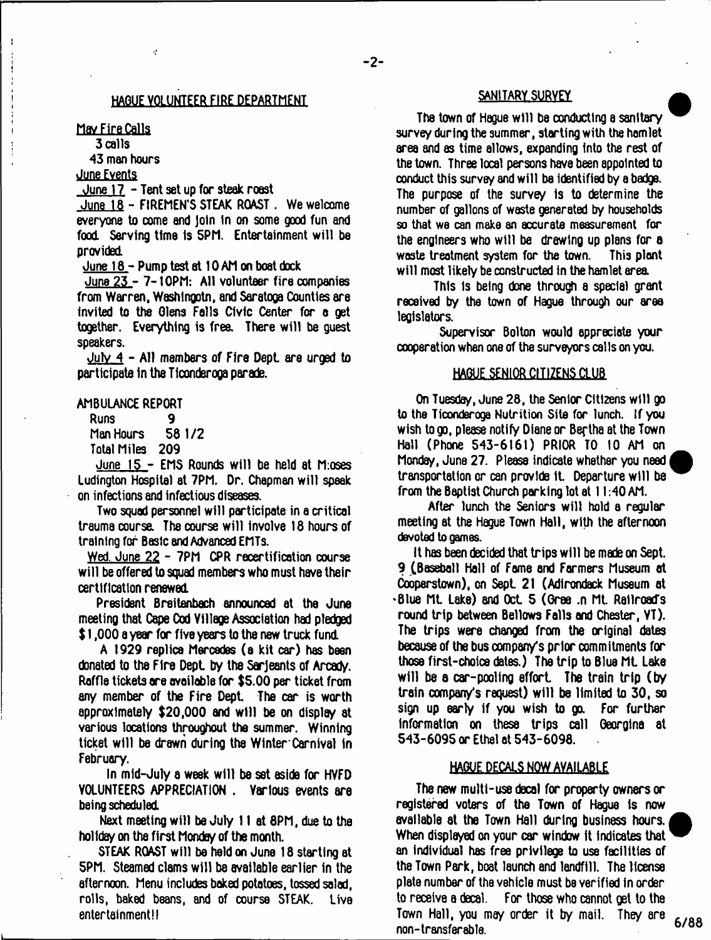### HAGUE VOLUNTEER FIRE DEPARTMENT

May Fire Calls

 $\mathbf{I}$ 

3 calls

43 men hours

 $\hat{\mathcal{L}}$ 

June Events

June 17 - Tent set up for steak roast

June 18 - FIREMEN'S STEAK ROAST . We welcome everyone to come and Join In on some good fun and food. Serving time is 5PM. Entertainment will be provided

June  $18 -$  Pump test at 10 AM on boat dock

June 23 - 7-tOPM: All volunteer fire companies from Warren, Washingotn, and Saratoga Counties are invited to the Glens Falls Civic Center for a get together. Everything is free. There will be guest speakers.

 $July_4 - All members of Fire Dept. are urged to$ participate in the Ticonderoga parade.

## AMBULANCE REPORT

Runs 9<br>Man Hours 58 1/2 Man Hours

Total Miles 209

June 15 - EM5 Rounds will be held at M:oses Ludington Hospital at 7PM. Dr. Chapman will speak on infections and infectious diseases.

Two squad personnel will participate in a critical trauma course. The course will involve 18 hours of training for Basic and Advanced EMTs.

Wed. June 22 - 7PM CPR recertification course will be offered to squad members who must have their certification renewed

President Breitenbach announced at the June meeting that Cape Cod Village Association had pledged \$ 1,000 a year for five years to the new truck fund

A 1929 replica Mercedes (a kit car) has been donated to the Fire Dept by the Sarjeants of Arcady. Raffle tickets are available for \$5.00 per ticket from any member of the Fire Dept. The car is worth approximately \$20,000 and will be on display at various locations throughout the summer. Winning ticket will be drawn during the Winter Carnival in February.

In mid-July a week will be set aside for HVFD VOLUNTEERS APPRECIATION . Various events are being scheduled

Next meeting will be July 11 at 8PM, due to the holiday on the first Monday of the month.

STEAK ROAST will be held *on* June 18 starting at 5PM. Steamed clams will be available earlier in the afternoon. Menu includes baked potatoes, tossed salad, rolls, baked beans, and of course STEAK. Live entertainment!!

## SANITARY SURVEY

The town of Hague will be conducting a sanitary survey during the summer, starting with the hamlet area and as time allows, expanding into the rest of the town. Three local persons have been appointed to conduct this survey and will be Identified by a badge. The purpose of the survey is to determine the number of gallons of waste generated by households so that we can make an accurate measurement for the engineers who will be drawing up plans for  $a$ waste treatment system for the town. This plant will most likely be constructed in the hamlet area

This Is being done through a special grant received by the town of Hague through our area legislators.

Supervisor Bolton would appreciate your cooperation when one of the surveyors calls on you.

#### HAGUE SENIOR CITIZENS CLUB

On Tuesday, June 28, the Senior Citizens will go to the Ticonderoga Nutrition Site for lunch. If you wish to go, please notify Diane or Bertha at the Town Hail (Phone 543-6161) PRIOR TO 10 AM on Monday, June 27. Pleass indicate whether you need transportation or can provide it. Departure will be from the Baptist Church parking lot at  $11:40$  AM.

After lunch the Seniors will hold a regular meeting at the Hague Town Hall, with the afternoon devoted to games.

It has been decided that trips will be made on Sept. 9 (Baseball Hall of Fame and Farmers Museum at Cooperstown), on Sept 21 (Adirondack Museum at 'Blue Ml Lake) and Oct 5 (Gree .n Ml Railroad's round trip between Bellows Falls and Chester, VT). The trips were changed from the original dates because of the bus company's prior commitments for those first-choice dates.) The trip to Blue Mt Lake will be a car-pooling effort. The train trip (by train company's request) will ba limited to 30, so sign up early if you wish to go. For further information on these trips call Georgina at 543-6095 or Ethel at 543-6098.

## HAGUE DECALS NOW AVAILABLE

The new multi-use decal for property owners or registered voters of the Town of Hague is now available at the Town Hall during business hours. When displayed on your car window It Indicates that an individual has free privilege to use facilities of the Town Park, boat launch and landfill. The license plate number of the vehicle must be verified in order to receive a decal. For those who cannot get to the Town Hall, you may order it by mail. They are non-transferable. **6/88**<br>non-transferable.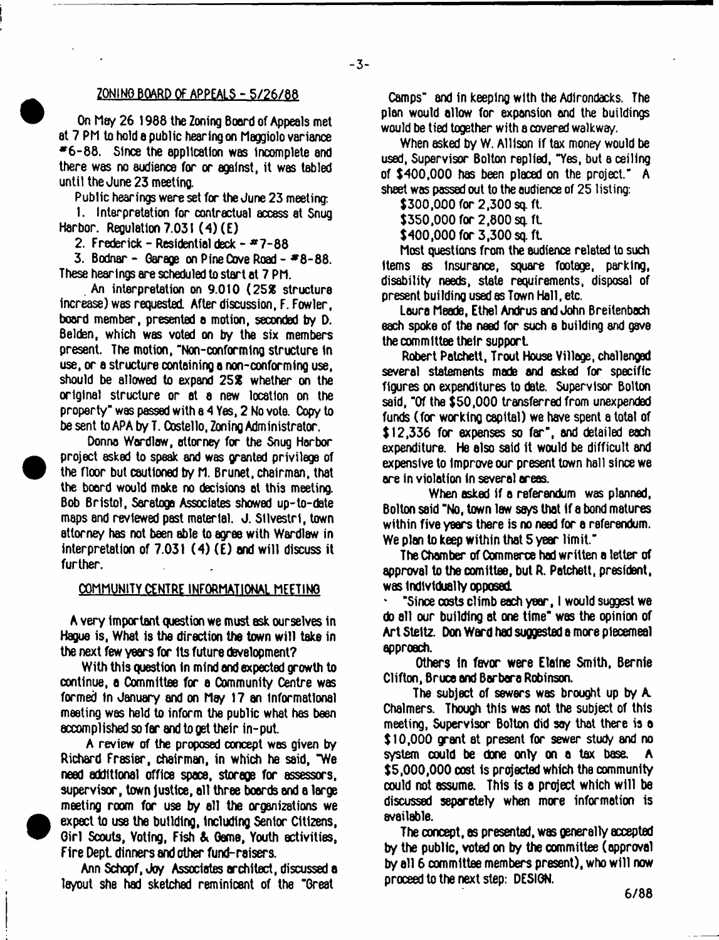### ZONINO BOARD OF APPEALS - 5/26/88

On May 26 1988 the Zoning Boord of Appeals met at 7 PM to hold a public hearing on Maggiolo variance  $*6-88$ . Since the application was incomplete and there was no audience for or against, it was tabled until the June 23 meeting.

Public hearings were set for the June 23 meeting:

1. Interpretation for contractual access at Snug Harbor. Regulation 7.031 (4)(E)

2. Frederick - Residential deck -  $47 - 88$ 

3. Bodnar - Garage on Pine Cove Road -  $#8-88$ . These hearings are scheduled to start at 7 PM.

An interpretation on 9.010 (252 structure increase) was requested After discussion, F. Fowler, board member, presented a motion, seconded by D. Belden, which was voted on by the six members present. The motion, "Non-conforming structure in use, or a structure containing a non-conforming use, should be allowed to expand 252 whether on the xlglnal structure or at a new location on the property" was passed with e 4 Yes, 2 No vote. Copy to be sent to APA by T. Costello, Zoning Administrator.

Donna Wardlaw, attorney for the Snug Harbor project asked to speak and was granted privilege of the floor but cautioned by M. Brunet, chairman, that the board would make no decisions at this meeting. Bob Bristol, Saretoge Associates showed up-to-date maps and reviewed past material. J. Stlvestrl, town attorney has not been able to agree with Wardlaw in interpretation of 7.031 (4) (E) and will discuss it further.

 $\bullet$ 

<sup>•</sup>

#### COMMUNITY CENTRE INFORMATIONAL MEETING

A very important question we must ask ourselves in Hague is, What is tha direction the town will take in the next few years for its future development?

With this question In mind and expected growth to continue, a Committee for a Community Centre was formed in January and on May 17 an informational meeting was held to inform the public what has been  $\alpha$ ccomplished so far and to get their in-put.

A review of the proposed concept was given by Richard Frasiar, chairman, in which he said, "We need additional office space, storage for assessors, supervisor, town justice, all three boards and a large meeting room for use by all the organizations we expect to use the building, including Senior Citizens, Girl Scouts, Voting, Fish & Game, Youth activities, Fire Dept. dinners and other fund-raisers.

Ann Schopf, Joy Associates architect, discussed a layout she had sketched reminicsnt of the "Great

Camps" and in keeping with the Adirondacks. The plan would allow for expansion and the buildings would be tied together with a covered walkway.

When asked by W. Allison if tax money would be used, Supervisor Bolton replied, "Yes, but a ceiling of \$400,000 has been placed on the project" A sheet was passed out to the audience of 25 listing:

 $$300,000$  for  $2,300$  sq. ft.

\$350,000 for 2,800 sq. ft.

 $$400,000$  for 3,300 sq. ft.

Most questions from the audience related to such items as insurance, square footage, parking, disability needs, state requirements, disposal of present building used as Town Hall, etc.

Laura Meade, Ethel Andrus and John Breitenbach each spoke of the need for such a building and gave the committee their support.

Robert Patchett, Trout House Village, challenged several statements made and asked for specific figures on expenditures to date. Supervisor Bolton said, "Of the \$50,000 transferred from unexpended funds (for working capital) we have spent a total of  $$12,336$  for expenses so far", and detailed each expenditure. He also said it would be difficult and expensive to Improve our present town hall since we are in violation in several areas.

When asked if a referendum was planned, Bolton said "No, town law says that If a bond matures within five years there is no need for a referendum. We plan to keep within that 5 year limit."

The Chamber of Commerce had written a letter of approval to the comittee, but R. Patchett, president, was Individually opposed.

' "Since costs climb each yex, I would suggest we do all our building at one time" was the opinion of Art Steltz. Don Ward had suggested a more piecemeal approach.

Others in favor were Elaine Smith, Bernie Clifton, Bruce and Barbara Robinson.

The subject of sewers was brought up by A. Chalmers. Though this was not the subject of this meeting, Supervisor Bolton did say that there is a \$10,000 grant at present for sewer study and no system could be done only on a tax base. \$5,000,000 cost Is projected which the community could not assume. This is a project which will be discussed separately when more information is available.

The concept, as presented, was generally accepted by the public, voted on by the committee (approval by all 6 committee members present), who will now proceed to the next step: DESIGN.

**6 /8 8**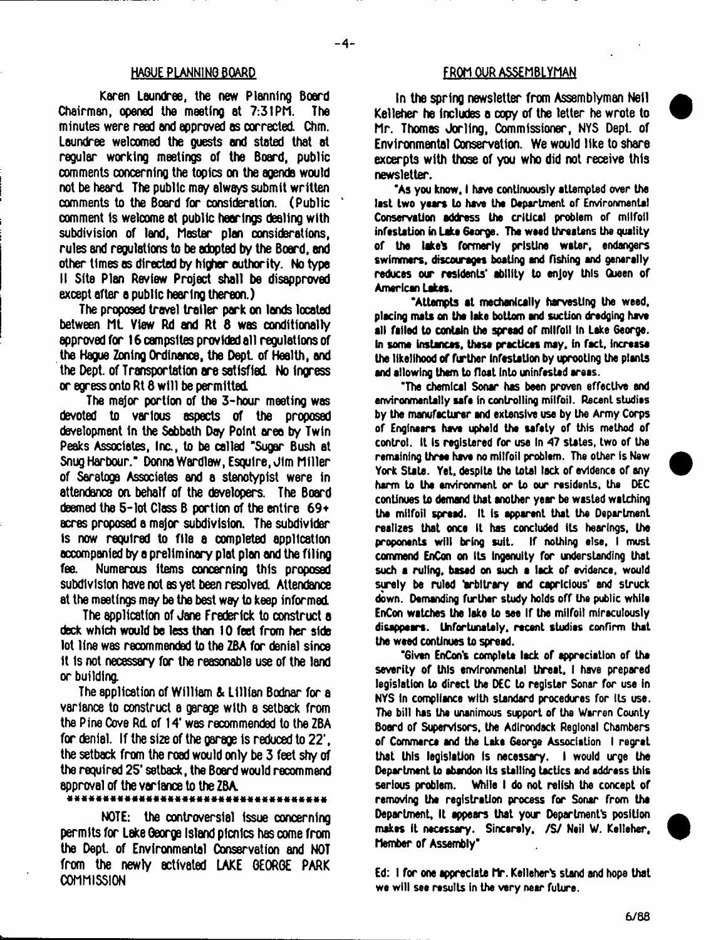Karen Laundree, the new Planning Board Chairman, opened the meeting at 7:31PM. The minutes were read and approved as corrected. Chm. Laundree welcomed the guests and stated that at regular working meetings of the Board, public comments concerning the topics on the agenda would not be heard. The public may always submit written comments to the Board for consideration. (Public comment Is welcome at public hearings dealing with subdivision of land, Master plan considerations, rules and regulations to be adopted by the Board, and other times as directed by higher authority. No type II Site Plan Review Project shall be disapproved except after a public hearing thereon.)

The proposed travel trailer park on lands located between ML View Rd and Rt 8 was conditionally approved for 16 campsites provided all requisitions of the Hague Zoning Ordinance, the Dept of Health, and the Dept, of Transportation are satisfied. No ingress or egress onto Rt 8 will be permitted.

The major portion of the 3-hour meeting was devoted to various aspects of the proposed development In the Sabbath Day Point area by Twin Peaks Associates, Inc., to be called "Sugar Bush at Snug Harbour." Donna Wardlaw, Esquire, Jim Miller of Saratoga Associates and a stenotypist were in attendance on behalf of the developers. The Boxd deemed the  $5$ -lot Class B portion of the entire  $69*$ acres proposed a major subdivision. The subdivider is now required to file a completed application accompanied by a preliminary plat plan and the filing fee. Numerous items concerning this proposed subdivision have not as yet been resolved. Attendance at the meetings may be the best way to keep informed.

The application of Jane Frederick to construct a deck which would be less than 10 feet from her side lot line was recommended to the ZBA for denial since It is not necessary for the reasonable use of the land x building.

The application of William & Lillian Bodnar for a variance to construct a garage with a setback from the Pine Cove Rd. of 14\* was recommended to the ZBA for denial. If the size of the garage is reduced to 22', the setback from the road would only be 3 feet shy of the required 25' setback, the Board would recommend approval of the variance to the ZBA.

#### \*\*\*\*\*\*\*\*\*\*\*\*\*\*\*\*\*\*\*\*\*\*\*\*\*\*\*

NOTE: the controversial Issue concerning permits for Lake George Island picnics has come from the Dept, of Environmental Conservation and NOT from the newly activated LAKE GEORGE PARK **COMMISSION** 

#### HAGUE PLANNING BOARD FROM OUR ASSEMBLYMAN

In the spring newsletter from Assemblyman Nell Kelleher he includes a copy of the letter he wrote to Mr. Thomas Jorling, Commissioner, NYS Dept, of Environmental Conservation. We would like to share excerpts with those of you who did not receive this newsletter.

'As you know, I have continuously attempted over the last two years to have the Department of Environmental Conservation address the critical problem of milfoil infestation in Lake George. The weed threatens the quality of the lake's formerly pristine water, endangers swimmers, discourages boating and fishing and generally reduces our residents' ability to enjoy this Queen of American Lakes.

'Attempts at mechanically harvesting the weed, placing mats on tha lake bottom and suction dredging have all failed to contain the spread of milfoil In Lake George. In soma instances, these practices may, in fact, Increase the likelihood of further Infestation by uprooting the plants and allowing them to float into uninfested areas.

"The chemical Sonar has been proven effective and environmentally safa in controlling milfoil. Recent studies by the manufacturer and extensive use by the Army Corps of Engineers have upheld the safety of this method of control. It is registered for use In 47 states, two of the remaining three have no milfoil problem. The other is New York State. Yet, despite the total lack of evidence of any harm to the environment or to our residents, the DEC continues to demand that another year be wasted watching the milfoil spread. It is apparent that the Department realizes that once it has concluded Its hearings, the proponents will bring suit. If nothing else, I must commend EnCon on Its ingenuity for understanding that such e ruling, based on such a lack of evidence, would surely be ruled 'arbitrary and capricious' and struck down. Oamanding further study holds off the public while EnCon watches the lake to see if the milfoil miraculously disappears. Unfortunately, recent studies confirm that the weed continues to spread.

"Given EnCon's complete lack of appreciation of the severity of this environmental threat, I have prepared legislation to direct the DEC to register Sonar for use in NYS in compliance with standard procedures for its use. The bill has the unanimous support of the Warren County Board of Supervisors, the Adirondack Regional Chambers of Commerce and the Lake George Association I regret that this legislation is necessary. I would urge the Department to abandon its stalling tactics and address this serious problem. While I do not relish the concept of removing the registration process for Sonar from the Department, it appears that your Department's position makes it necessary. Sincarely, /S/ Neil W. Kelleher, Member of Assembly"

Ed: I for one appreciate Mr. Kelleher's stand and hope that we will see results in the very near future.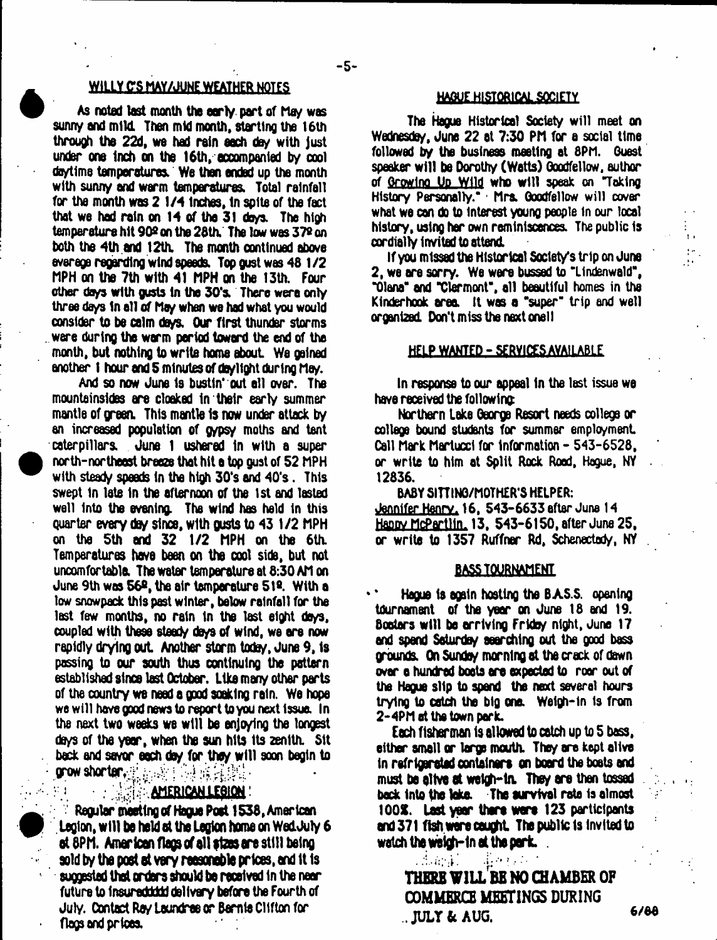## WILLY C'S MAY/JUNE WEATHER NOTES

As noted last month the early part of May was sunny and mild. Then mid month, starting the 16th through the 22d, we had rain each day with just under one Inch on the 16th, accompanied by cool de/time temperatures. We then ended up the month with sunny and warm temperatures. Total rainfall for the month was 2 1/4 Inches, In spite of the fact that we had rain on 14 of the 31 days. The high temperature hit 90º on the 28th. The low was 37º on both the 4th and 12th. The month continued above overage regarding wind speeds. Top gust was 48 1/2 MPH on the 7th with 41 MPH on the 13th. Four other da/s with gusts In the 30's. There were only three days in all of May when we had what you would consider to be calm days. Our first thunder storms were during the worm period toward the end of tha month, but nothing to write home about We gained another 1 hour end 5 minutes of daylight during Me/.

And so now June Is bustin' out ell over. The mountainsides ere cloaked In their early summer mantle of green. This mantle Is now under attack by an increased population of g/psy moths and tent caterpillars. June 1 ushered in with a super north-northeost breeze that hit a top gust of 52 MPH with steady speeds in the high 30's and 40's . This swept 1n late In the afternoon of the 1st and lasted well Into the evening. The wind hes held in this quarter every day since, with gusts to 43 1/2 MPH on the 5th end 32 1/2 MPH on the 6th. Temperatures hove been on the cool side, but not uncomfortable The water temperature at 8:30 AM on June 9th was 56®, the air temperature 5l». With a low snowpack this past winter, below rainfall for the last few months, no rain In the last eight de/s, coupled with these steady days of wind, we are now rapidly drying out Another storm tods/, June 9, Is passing to our south thus continuing the pattern established since last October. Like many other parts of the country we need a good soaking rain. We hope we will have good news to report toyou next issue. In the next two weeks we will be enjoying the longest do/s of the year, when the sun hits Its zenith. Sit back and savor each da/ for they will soon begin to **prow shorter, and also in the interval of**  $\mathbb{R}$ 

## **AMERICAN LEGION!**

Regular meeting **of** Hague **Pest 1536,** American . Legion, **will** be held at the **legion home** on WedJuly **6** ol8PM. **American** flags **of** all fto **ore** still being sold **by the poet at very reesoneble prices,** and **It Is** suggested **that orders** should be received In **the** near future to Insureddddd delivery before the Fourth of July. Contact Ray laundree or Bamte Clifton for flogs and prices.

## HA0U£\_HISTQR1CAL SOCIETY

The Hague Historical Society will meet on Wednesday, June 22 at 7:30 PM for a social time followed by the business meeting at 8PM. Guest speaker will be Dorothy (Watts) Goodfellow, author of Growing Up Wild who will speak on 'Taking History Personally." Mrs. Goodfellow will cover what we can do to Interest young people in our local history, using her own reminiscences. The public Is cordially Invited to attend.

If you missed the Historical Society's trip on June 2, we are sorry. We were bussed to "Llndenwald", "Olana" and Tlermont", all beautiful homes in the Kinder hook area. It was a "super" trip and well organized. Don't miss the next onel I

#### HELP WANTED - SERVICES AVAILABLE

In response to our appeal In the last issue we have received the following

Northern lake George Resort needs college or college bound students for summer employment Call Mark Martuccl for Information - 543-6528, or write to him at Split Rock Rood, Hague, NY . 12836.

#### BABY SITTING/MOTHER'S HELPER:

Jennifer Henrv. 16. 543-6633after June 14 Happy McPartlln. 13. 543-6150, after June 25, or write to 1357 Ruffner Rd, Schenectady, NY

#### **BASS TOURNAMENT**

Hague Is again hosting the BAS.S. opening tournament of the year on June 18 end 19. Boaters will be arriving Fridoy night, June 17 and spend Saturday searching out the good bass grounds. On Sunder/ mornlnQ at tha crack of dawn over o hundred boots ere expected to roor out of the Hague slip to spend the next several hours trying to catch the big one. Weigh-In is from 2-4PM at the town park.

Each fisherman is allowed to catch up to 5 bass. either small or large mouth. The/ are kept alive in refrigaretid containers on board the boats and must be alive at weigh-in. They are then tossed back into the take. The survival rata is almost 100%. Last year there were 123 participants and 371 fish were cautfvt The public Is Invited to watch the weigh-in at the perk.  $\Box$ 

**THERE V1LL BE NO CHAMBER OF COMMERCE MEETINGS DURING ..JULY & AUG. 6/66**

diamati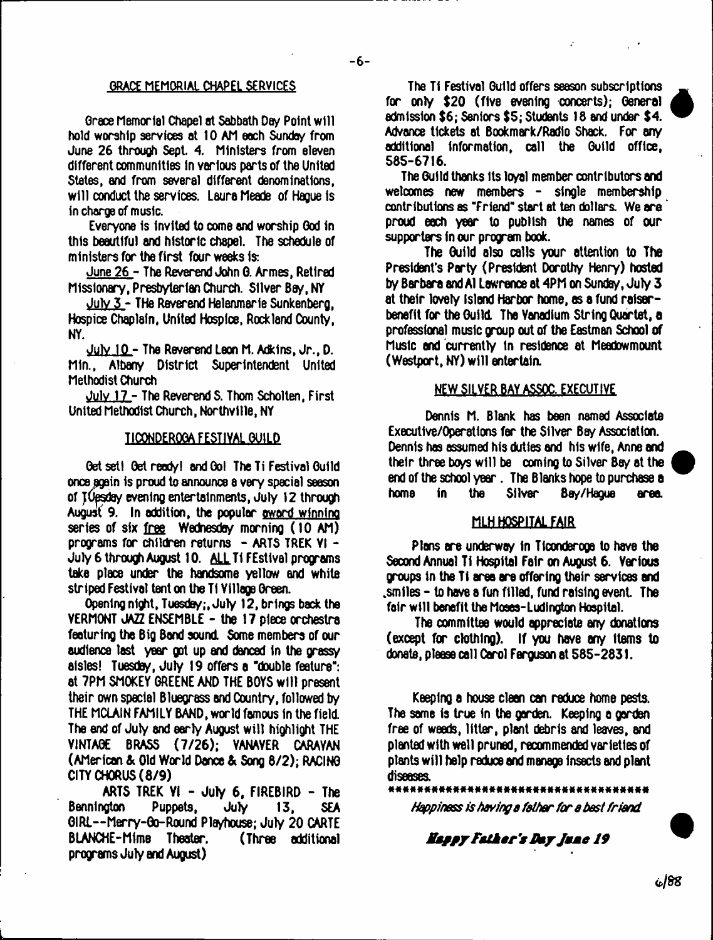## **GRACE MEMORIAL CHAPEL SERVICES**

Grace Memorial Chapel at Sabbath Day Point will hold worship services at 10 AM each Sunday from June 26 through Sept. 4, Ministers from eleven different communities In various parts of the United States, and from several different denominations, will conduct the services. Laura Meade of Hague is in charge of music.

Everyone Is invited to come end worship God in this beautiful and historic chapel. The schedule of ministers for the first four weeks is;

June 26 - The Reverend John 6. Armes, Retired Missionary, Presbyterian Church. Silver Bay, NY

July 3 - THe Reverend Helenmerle Sunkenberg, Hospice Chaplain, United Hospice, Rockland County, NY.

July 10 - The Reverend Leon M. Adkins, Jr., D. Min., Albany District Superintendent United Methodist Church

July 17 - The Reverend S. Thom Scholten, First United Methodist Church, Northvllle, NY

## TICONDEROGA FESTIVAL GUILD

Get sett Get ready! and Go! The Ti Festival Guild once pgain is proud to announce a very special season of TUesday evening entertainments, July 12 through August 9. In addition, the popular award winning series of six free Wednesday morning (10 AM) programs for children returns  $-$  ARTS TREK VI  $-$ July 6 through August 10. ALL Ti FEstival programs take place under the handsome yellow and white striped Festival tent on the TI Yillage Green.

Opening night, Tuesday;, July 12, brings back the VERMONT JAZZ ENSEMBLE - the 17 piece orchestra featuring the Big Band sound. Some members of our audience last year got up and danced in the grassy aisles! Tuesday, July 19 offers a "double feature": at 7PM SMOKEY GREENE AND THE BOYS will present their own special Bluegrass and Country, followed by THE MCLAIN FAMILY BAND, world famous in the field. The end of July and early August will highlight THE VINTAGE BRASS (7/26); VANAVER CARAVAN (AMerican & Old World Dance & Song 8/2); RACING CITY CHORUS (8/9)

ARTS TREK  $YI - JuIY$  6, FIREBIRD - The Bennington Puppets, July 13, SEA GIRl--Mxry-Go-Round Playhouse; July 20 CARTE BLANCHE-Mime Theater. (Three additional programs July and August)

The Ti Festival Guild offers season subscriptions for only \$20 (five evening concerts); General admission \$6; Seniors \$5; Students 18 and under \$4. Advance tickets at Bookmark/Radio Shack. For any additional information, call the Guild office, 585-6716.

The Guild thanks its loyal member contributors and welcomes new members - single membership contributions as "Friend" start at ten dollars. We are proud each year to publish the names of our supporters in our program book.

The Guild also calls your attention to The President's Party (President Dorothy Henry) hosted by Barbara and A1 Lawrence at  $4PM$  on Sunday, July  $3$ at their lovely island Harbor home, as a fund raiserbenefit for the Guild. The Vanadium String Quartet, a professional music group out of the Eastman School of Music end currently In residence et Meadowmount (Westport, NY) will entertain.

### **NEW SILVER BAY ASSOC. EXECUTIVE**

Dennis M. Blank has been named Associate Executive/Operations far the Silver Bay Association. Dennis has assumed his duties end his wife, Anne and their three boys will be coming to Silver Bey at the end of the school year. The Blanks hope to purchase a home in the Silver Bay/Hague area.

## MLH HOSPITAL FAIR

Plans ere underway In Ticonderoga to have the Second Annual Ti Hospital Fair on August 6. Various groups in the Ti area are offering their services and  $\mathsf{smiles}\,$  - to have a fun filled, fund raising event. The fair will benefit the Moses-Ludlngton Hospital.

The committee would appreciate any donations (except for clothing). If you have any items to donate, please call Carol Ferguson at 585-2831.

Keeping a house cleen can reduce home pests. The same is true in the garden. Keeping a garden free of weeds, litter, plant debris and leaves, and planted with well pruned, recommended varieties of plants will help reduce and manage Insects and plant diseases.<br>\*\*\*\*\*\*

*Happiness is having a father for a best friend*

## *Mm jp t F athe r's Ikyjm m e 19*



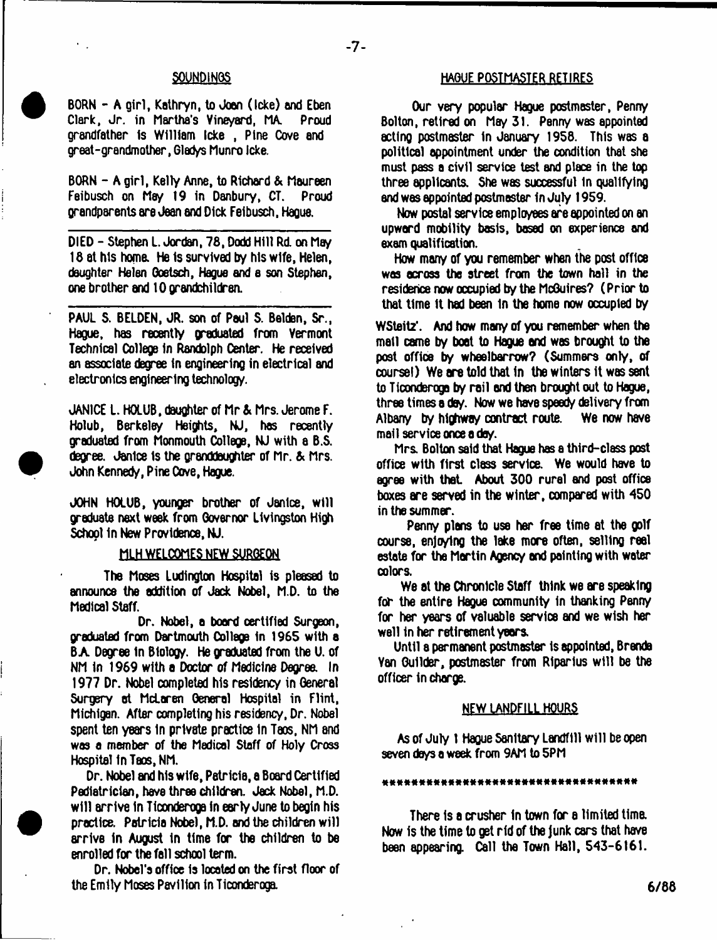$-7-$ 

BORN - A girl, Kathryn, to Joan (Icke) and Eben Clark, Jr. in Martha's Vineyard, MA. Proud grandfather Is William Icke , Pine Cove and great-grandmother, Gladys Munro Icke.

BORN - A girl, Kelly Anne, to Richard & Maureen Feibusch on May 19 in Danbury, CT. Proud grandparents are Jean and Dick Feibusch, Hague.

DIED - Stephen L. Jordan, 78, Dodd Hill Rd. on May 18 at his home. He is survived by his wife, Helen, daughter Helen Goetsch, Hague and e son Stephen, one brother and 10 grandchildren.

PAUL S. BELDEN, JR. son of Paul S. Belden, Sr., Hague, has recently graduated from Vermont Technical College In Randolph Center. He received an associate degree In engineering in electrical and electronics engineering technolog/.

JANICE I. HOLUB, daughter of Mr & Mrs. Jerome F. Holub, Berkeley Heights, NJ, has recently graduated from Monmouth College, NJ with a B.S. degree. Janice Is the granddaughter of Mr. & Mrs. John Kenned/, Pine Owe, Hague.

JOHN HOLUB, younger brother of Janice, will graduate next week from Governor Livingston High School in New Providence, NJ.

#### MLH WELCOMES NEW SURGEON

The Moses Ludlngton Hospital is pleased to announce the addition of Jack Nobel, M.D. to the Medical Staff.

Dr. Nobel, a board certified Surgeon, graduated from Dartmouth College in 1965 with a BA Degree In Biology. He graduated from the U. of NM in 1969 with a Doctor of Medicine Degree. In 1977 Dr. Nobel completed his residency in General Surgery at McLaren General Hospital in Flint, Michigan. After completing his residency, Dr. Nobel spent ten years In private practice In Taos, NM and was a member of the Medical Staff of Holy Cross Hospital fn Taos, NM.

Dr. Nobel and his wife, Patricia, a Board Certified Pediatrician, have three children. Jack Nobel, M.D. will arrive In Ticonderoga in early June to begin his practice. Patricio Nobel, M.D. end the children will arrive in August in time for the children to be enrolled for the fall school term.

Dr. Nobel's office Is located on the first floor of the Emily Moses Pavilion in Ticonderoga.

## **MOUE POSTMASTER RETIRES**

Our very popular Hague postmaster, Penny Bolton, retired on May 31. Penny was appointed acting postmaster in January 1958. This was a political appointment under the condition that she must pass a civil service test and place in the top three applicants. She was successful in qualifying and was appointed postmaster In July 1959.

Now postal service employees are appointed on an upward mobility basis, based on experience and exam qualification.

How many of you remember when the post office was across the street from the town hall in the residence now occupied by the McGuires? (Prior to that time it had been In the home now occupied by

W Steitz'. And how many of you remember when the mail came by boat to Hague and was brought to the post office by wheelbarrow? (Summers only, of course!) We are told that in the winters it was sent to Ticonderoga by rail and then brought out to Hague, three times a day. Now we have speedy delivery from Albany by highway contract route. We now have mall service once e day.

Mrs. Bolton said that Hague has a third-class post office with first class service. We would have to agree with that About 300 rural and post office boxes are served in the winter, compared with 450 in the summer.

Penny plans to use her free time at the golf course, enjoying the lake more often, selling reel estate for the Mertin Agency and painting with water colors.

We at the Chronicle Staff think we are speaking for the entire Hague community in thanking Penny for her years of valuable service and we wish her well in her retirement years.

Until a permanent postmaster is appointed, Brenda Van Guilder, postmaster from Riparius will be the officer in charge.

#### NEW LANDFILL HOURS

As of July 1 Haoue Sanitary Landfill will be open seven days a week from 9AM to 5PM

#### 

There is a crusher in town for a limited time. Now is the time to get rid of the Junk cars that have been appearing. Call the Town Hall, 543-6161.